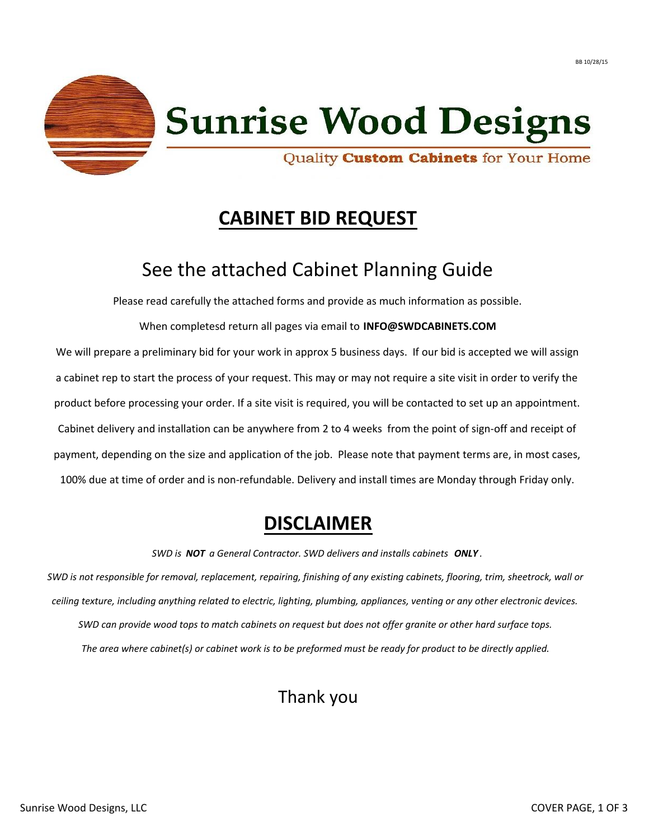



# **Sunrise Wood Designs**

Quality Custom Cabinets for Your Home

# **CABINET BID REQUEST**

## See the attached Cabinet Planning Guide

Please read carefully the attached forms and provide as much information as possible.

When completesd return all pages via email to **INFO@SWDCABINETS.COM** We will prepare a preliminary bid for your work in approx 5 business days. If our bid is accepted we will assign a cabinet rep to start the process of your request. This may or may not require a site visit in order to verify the product before processing your order. If a site visit is required, you will be contacted to set up an appointment. Cabinet delivery and installation can be anywhere from 2 to 4 weeks from the point of sign-off and receipt of payment, depending on the size and application of the job. Please note that payment terms are, in most cases, 100% due at time of order and is non-refundable. Delivery and install times are Monday through Friday only.

#### **DISCLAIMER**

*SWD is NOT a General Contractor. SWD delivers and installs cabinets ONLY .*

*ceiling texture, including anything related to electric, lighting, plumbing, appliances, venting or any other electronic devices. SWD can provide wood tops to match cabinets on request but does not offer granite or other hard surface tops. The area where cabinet(s) or cabinet work is to be preformed must be ready for product to be directly applied. SWD is not responsible for removal, replacement, repairing, finishing of any existing cabinets, flooring, trim, sheetrock, wall or*

### Thank you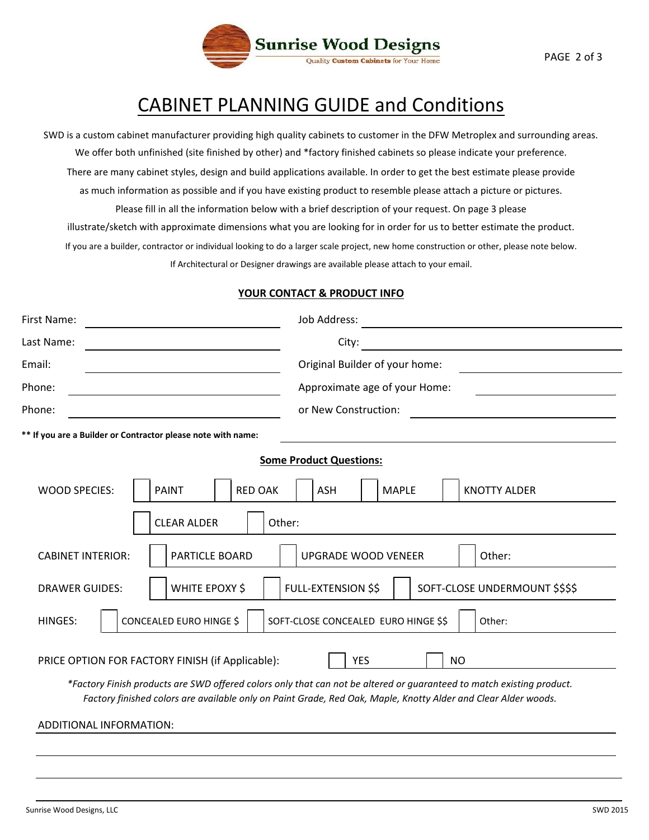

### CABINET PLANNING GUIDE and Conditions

If you are a builder, contractor or individual looking to do a larger scale project, new home construction or other, please note below. Please fill in all the information below with a brief description of your request. On page 3 please SWD is a custom cabinet manufacturer providing high quality cabinets to customer in the DFW Metroplex and surrounding areas. We offer both unfinished (site finished by other) and \*factory finished cabinets so please indicate your preference. There are many cabinet styles, design and build applications available. In order to get the best estimate please provide as much information as possible and if you have existing product to resemble please attach a picture or pictures. If Architectural or Designer drawings are available please attach to your email. illustrate/sketch with approximate dimensions what you are looking for in order for us to better estimate the product.

#### **YOUR CONTACT & PRODUCT INFO**

| First Name:              |                                                                                                                |                | Job Address:                         |              |  |                                                                                                                                    |  |
|--------------------------|----------------------------------------------------------------------------------------------------------------|----------------|--------------------------------------|--------------|--|------------------------------------------------------------------------------------------------------------------------------------|--|
| Last Name:               |                                                                                                                |                | City:                                |              |  |                                                                                                                                    |  |
| Email:                   |                                                                                                                |                | Original Builder of your home:       |              |  |                                                                                                                                    |  |
| Phone:                   |                                                                                                                |                | Approximate age of your Home:        |              |  |                                                                                                                                    |  |
| Phone:                   |                                                                                                                |                | or New Construction:                 |              |  |                                                                                                                                    |  |
|                          | ** If you are a Builder or Contractor please note with name:                                                   |                |                                      |              |  |                                                                                                                                    |  |
|                          |                                                                                                                |                | <b>Some Product Questions:</b>       |              |  |                                                                                                                                    |  |
| <b>WOOD SPECIES:</b>     | <b>PAINT</b>                                                                                                   | <b>RED OAK</b> | <b>ASH</b>                           | <b>MAPLE</b> |  | <b>KNOTTY ALDER</b>                                                                                                                |  |
|                          | <b>CLEAR ALDER</b>                                                                                             | Other:         |                                      |              |  |                                                                                                                                    |  |
| <b>CABINET INTERIOR:</b> | PARTICLE BOARD                                                                                                 |                | <b>UPGRADE WOOD VENEER</b>           |              |  | Other:                                                                                                                             |  |
| <b>DRAWER GUIDES:</b>    | WHITE EPOXY \$                                                                                                 |                | <b>FULL-EXTENSION \$\$</b>           |              |  | SOFT-CLOSE UNDERMOUNT \$\$\$\$                                                                                                     |  |
| <b>HINGES:</b>           | CONCEALED EURO HINGE \$                                                                                        |                | SOFT-CLOSE CONCEALED EURO HINGE \$\$ |              |  | Other:                                                                                                                             |  |
|                          | PRICE OPTION FOR FACTORY FINISH (if Applicable):                                                               |                |                                      | <b>YES</b>   |  | <b>NO</b><br>*Factory Finish products are SWD offered colors only that can not be altered or guaranteed to match existing product. |  |
|                          | Factory finished colors are available only on Paint Grade, Red Oak, Maple, Knotty Alder and Clear Alder woods. |                |                                      |              |  |                                                                                                                                    |  |
| ADDITIONAL INFORMATION:  |                                                                                                                |                |                                      |              |  |                                                                                                                                    |  |